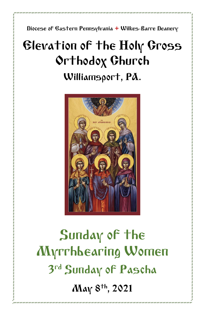Diocese of Eastern Pennsylvania **+** Wilkes-Barre Deanery

## Elevation of the Holy Cross Orthodox Church Williamsport, PA.



# Sunday of the Myrrhbearing Women 3 rd Sunday of Pascha May 8<sup>th</sup>, 2021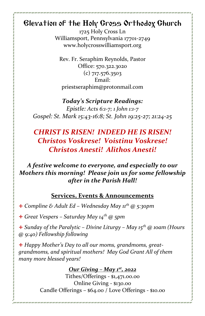## Elevation of the Holy Cross Orthodox Church

1725 Holy Cross Ln Williamsport, Pennsylvania 17701-2749 www.holycrosswilliamsport.org

Rev. Fr. Seraphim Reynolds, Pastor Office: 570.322.3020 (c) 717.576.3503 Email: priestseraphim@protonmail.com

#### *Today's Scripture Readings:*

*Epistle: Acts 6:1-7; 1 John 1:1-7 Gospel: St. Mark 15:43-16:8; St. John 19:25-27; 21:24-25*

## *CHRIST IS RISEN! INDEED HE IS RISEN! Christos Voskrese! Voistinu Voskrese! Christos Anesti! Alithos Anesti!*

## *A festive welcome to everyone, and especially to our Mothers this morning! Please join us for some fellowship after in the Parish Hall!*

#### **Services, Events & Announcements**

+ *Compline & Adult Ed – Wednesday May 11th @ 5:30pm*

+ *Great Vespers – Saturday May 14th @ 5pm*

+ *Sunday of the Paralytic – Divine Liturgy – May 15th @ 10am (Hours @ 9:40) Fellowship following*

+ *Happy Mother's Day to all our moms, grandmoms, greatgrandmoms, and spiritual mothers! May God Grant All of them many more blessed years!*

## *Our Giving – May 1st , 2022*

Tithes/Offerings - \$1,471.00.00 Online Giving - \$130.00 Candle Offerings – \$64.00 / Love Offerings - \$10.00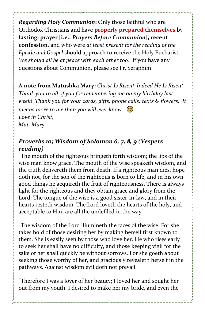*Regarding Holy Communion***:** Only those faithful who are Orthodox Christians and have **properly prepared themselves** by **fasting, prayer [i.e.,** *Prayers Before Communion***], recent confession**, and who were *at least present for the reading of the Epistle and Gospel* should approach to receive the Holy Eucharist. *We should all be at peace with each other too*. If you have any questions about Communion, please see Fr. Seraphim.

**A note from Matushka Mary:** *Christ Is Risen! Indeed He Is Risen! Thank you to all of you for remembering me on my birthday last week! Thank you for your cards, gifts, phone calls, texts & flowers. It means more to me than you will ever know. Love in Christ, Mat. Mary*

## *Proverbs 10; Wisdom of Solomon 6, 7, 8, 9 (Vespers reading)*

"The mouth of the righteous bringeth forth wisdom; the lips of the wise man know grace. The mouth of the wise speaketh wisdom, and the truth delivereth them from death. If a righteous man dies, hope doth not, for the son of the righteous is born to life, and in his own good things he acquireth the fruit of righteousness. There is always light for the righteous and they obtain grace and glory from the Lord. The tongue of the wise is a good sister-in-law, and in their hearts resteth wisdom. The Lord loveth the hearts of the holy, and acceptable to Him are all the undefiled in the way.

"The wisdom of the Lord illumineth the faces of the wise. For she takes hold of those desiring her by making herself first known to them. She is easily seen by those who love her. He who rises early to seek her shall have no difficulty, and those keeping vigil for the sake of her shall quickly be without sorrows. For she goeth about seeking those worthy of her, and graciously revealeth herself in the pathways. Against wisdom evil doth not prevail.

"Therefore I was a lover of her beauty; I loved her and sought her out from my youth. I desired to make her my bride, and even the